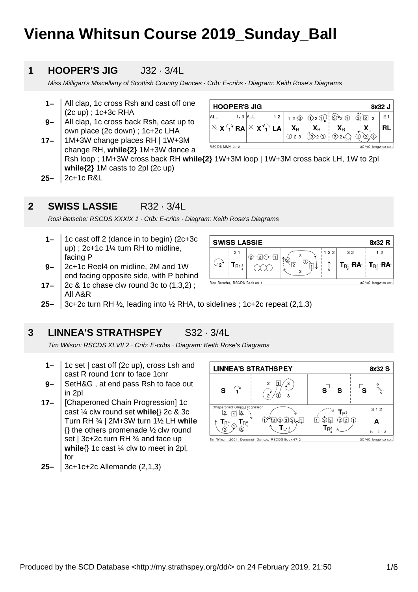# **Vienna Whitsun Course 2019\_Sunday\_Ball**

### **1 HOOPER'S JIG** J32 · 3/4L

Miss Milligan's Miscellany of Scottish Country Dances · Crib: E-cribs · Diagram: Keith Rose's Diagrams

- **1–** All clap, 1c cross Rsh and cast off one (2c up) ; 1c+3c RHA
- **9–** All clap, 1c cross back Rsh, cast up to own place (2c down) ; 1c+2c LHA

1M+3W change places RH | 1W+3M

| <b>HOOPER'S JIG</b><br>8x32 J          |             |  |                                                                                       |  |                                                                                                                                   |  |    |    |
|----------------------------------------|-------------|--|---------------------------------------------------------------------------------------|--|-----------------------------------------------------------------------------------------------------------------------------------|--|----|----|
| ALL                                    | $1_x 3$ ALL |  | 12                                                                                    |  | $12 \textcircled{3} \textcircled{1} 2 \textcircled{1} 1 \textcircled{3} 2 \textcircled{1} 3$                                      |  |    | 21 |
|                                        |             |  | $\times$ X $\curvearrowleft$ RA $\times$ X $\curvearrowleft$ LA $\mid$ X <sub>R</sub> |  |                                                                                                                                   |  |    |    |
|                                        |             |  |                                                                                       |  | $X_R$ $X_R$ $X_R$<br>$\textcircled{23}$ $\textcircled{3}$ $\textcircled{3}$ $\textcircled{3}$ $\textcircled{3}$ $\textcircled{3}$ |  | D. |    |
| 3C/4C longwise set.<br>RSC DS MMM 2.12 |             |  |                                                                                       |  |                                                                                                                                   |  |    |    |

change RH, **while{2}** 1M+3W dance a Rsh loop ; 1M+3W cross back RH **while{2}** 1W+3M loop | 1W+3M cross back LH, 1W to 2pl **while{2}** 1M casts to 2pl (2c up)

**25–** 2c+1c R&L

All A&R

**17–**

### **2 SWISS LASSIE** R32 · 3/4L

Rosi Betsche: RSCDS XXXIX 1 · Crib: E-cribs · Diagram: Keith Rose's Diagrams

- **1–** 1c cast off 2 (dance in to begin) (2c+3c up) ; 2c+1c 1¼ turn RH to midline, facing P
- **17– 9–** 2c+1c Reel4 on midline, 2M and 1W end facing opposite side, with P behind 2c & 1c chase clw round 3c to (1,3,2) ;



**25–** 3c+2c turn RH ½, leading into ½ RHA, to sidelines ; 1c+2c repeat (2,1,3)

### **3 LINNEA'S STRATHSPEY** S32 · 3/4L

Tim Wilson: RSCDS XLVII 2 · Crib: E-cribs · Diagram: Keith Rose's Diagrams

- **1–** 1c set | cast off (2c up), cross Lsh and cast R round 1cnr to face 1cnr
- **9–** SetH&G , at end pass Rsh to face out in 2pl
- **17–** [Chaperoned Chain Progression] 1c cast ¼ clw round set **while**{} 2c & 3c Turn RH ¾ | 2M+3W turn 1½ LH **while**  $\{\}$  the others promenade  $\frac{1}{2}$  clw round set | 3c+2c turn RH 3⁄4 and face up **while**{} 1c cast ¼ clw to meet in 2pl, for
- **25–** 3c+1c+2c Allemande (2,1,3)

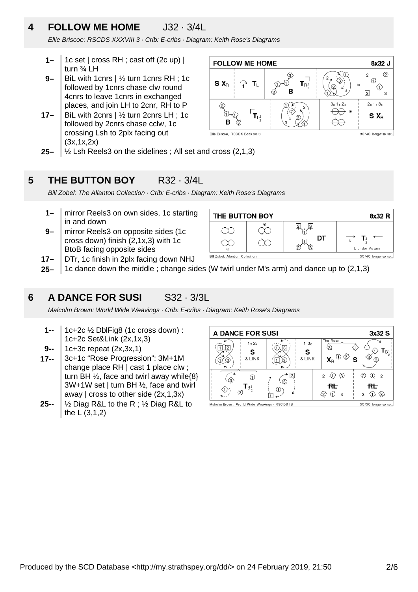### **4 FOLLOW ME HOME** J32 · 3/4L

Ellie Briscoe: RSCDS XXXVIII 3 · Crib: E-cribs · Diagram: Keith Rose's Diagrams

- **1–** 1c set | cross RH ; cast off (2c up) | turn ¾ LH
- **9–** BiL with 1cnrs | ½ turn 1cnrs RH ; 1c followed by 1cnrs chase clw round 4cnrs to leave 1cnrs in exchanged places, and join LH to 2cnr, RH to P
- **17–** BiL with 2cnrs | ½ turn 2cnrs LH ; 1c followed by 2cnrs chase cclw, 1c crossing Lsh to 2plx facing out (3x,1x,2x)



**25–**  $\frac{1}{2}$  Lsh Reels3 on the sidelines; All set and cross (2,1,3)

#### **5 THE BUTTON BOY** R32 · 3/4L

Bill Zobel: The Allanton Collection · Crib: E-cribs · Diagram: Keith Rose's Diagrams

- **1–** mirror Reels3 on own sides, 1c starting in and down
- **9–** mirror Reels3 on opposite sides (1c cross down) finish (2,1x,3) with 1c BtoB facing opposite sides
- **17–** DTr, 1c finish in 2plx facing down NHJ



**25–** 1c dance down the middle ; change sides (W twirl under M's arm) and dance up to (2,1,3)

### **6 A DANCE FOR SUSI** S32 · 3/3L

Malcolm Brown: World Wide Weavings · Crib: E-cribs · Diagram: Keith Rose's Diagrams

- **1--** 1c+2c ½ DblFig8 (1c cross down) : 1c+2c Set&Link (2x,1x,3)
- **9--** 1c+3c repeat (2x,3x,1)
- **17--** 3c+1c "Rose Progression": 3M+1M change place RH | cast 1 place clw ; turn BH ½, face and twirl away while{8} 3W+1W set | turn BH ½, face and twirl away | cross to other side  $(2x,1,3x)$
- **25--** ½ Diag R&L to the R ; ½ Diag R&L to the L (3,1,2)

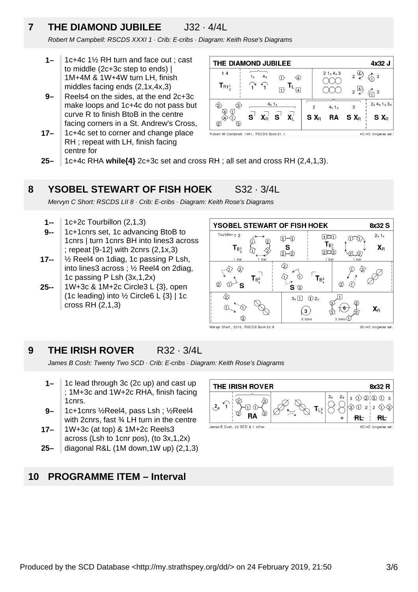### **7 THE DIAMOND JUBILEE** J32 · 4/4L

Robert M Campbell: RSCDS XXXI 1 · Crib: E-cribs · Diagram: Keith Rose's Diagrams

- **1–** 1c+4c 1½ RH turn and face out ; cast to middle (2c+3c step to ends) | 1M+4M & 1W+4W turn LH, finish middles facing ends (2,1x,4x,3)
- **9–** Reels4 on the sides, at the end 2c+3c make loops and 1c+4c do not pass but curve R to finish BtoB in the centre facing corners in a St. Andrew's Cross,
- **17–** 1c+4c set to corner and change place RH ; repeat with LH, finish facing centre for



**25–** 1c+4c RHA **while{4}** 2c+3c set and cross RH ; all set and cross RH (2,4,1,3).

#### **8 YSOBEL STEWART OF FISH HOEK** S32 · 3/4L

Mervyn C Short: RSCDS LII 8 · Crib: E-cribs · Diagram: Keith Rose's Diagrams

- **1--** 1c+2c Tourbillon (2,1,3)
- **9--** 1c+1cnrs set, 1c advancing BtoB to 1cnrs | turn 1cnrs BH into lines3 across ; repeat [9-12] with 2cnrs (2,1x,3)
- **17--** ½ Reel4 on 1diag, 1c passing P Lsh, into lines3 across ; ½ Reel4 on 2diag, 1c passing P Lsh (3x,1,2x)
- **25--** 1W+3c & 1M+2c Circle3 L {3}, open (1c leading) into ½ Circle6 L {3} | 1c cross RH (2,1,3)



**9 THE IRISH ROVER** R32 · 3/4L

James B Cosh: Twenty Two SCD · Crib: E-cribs · Diagram: Keith Rose's Diagrams

- **1–** 1c lead through 3c (2c up) and cast up ; 1M+3c and 1W+2c RHA, finish facing 1cnrs.
- **9–** 1c+1cnrs ½Reel4, pass Lsh ; ½Reel4 with 2cnrs, fast ¾ LH turn in the centre
- **17–** 1W+3c (at top) & 1M+2c Reels3 across (Lsh to 1cnr pos), (to 3x,1,2x)
- **25–** diagonal R&L (1M down,1W up) (2,1,3)

### **10 PROGRAMME ITEM – Interval**

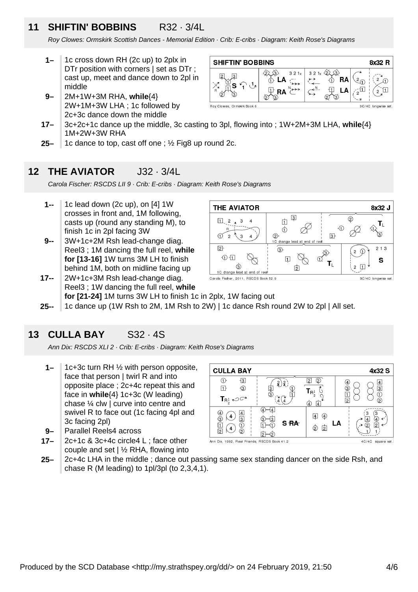### **11 SHIFTIN' BOBBINS** R32 · 3/4L

Roy Clowes: Ormskirk Scottish Dances - Memorial Edition · Crib: E-cribs · Diagram: Keith Rose's Diagrams

- **1–** 1c cross down RH (2c up) to 2plx in DTr position with corners | set as DTr ; cast up, meet and dance down to 2pl in middle
- **9–** 2M+1W+3M RHA, **while**{4} 2W+1M+3W LHA ; 1c followed by 2c+3c dance down the middle



- **17–** 3c+2c+1c dance up the middle, 3c casting to 3pl, flowing into ; 1W+2M+3M LHA, **while**{4} 1M+2W+3W RHA
- **25–** 1c dance to top, cast off one ; ½ Fig8 up round 2c.

### **12 THE AVIATOR J32 · 3/4L**

Carola Fischer: RSCDS LII 9 · Crib: E-cribs · Diagram: Keith Rose's Diagrams

- **1--** 1c lead down (2c up), on [4] 1W crosses in front and, 1M following, casts up (round any standing M), to finish 1c in 2pl facing 3W
- **9--** 3W+1c+2M Rsh lead-change diag. Reel3 ; 1M dancing the full reel, **while for [13-16]** 1W turns 3M LH to finish behind 1M, both on midline facing up
- **17--** 2W+1c+3M Rsh lead-change diag. Reel3 ; 1W dancing the full reel, **while for [21-24]** 1M turns 3W LH to finish 1c in 2plx, 1W facing out



**25--** 1c dance up (1W Rsh to 2M, 1M Rsh to 2W) | 1c dance Rsh round 2W to 2pl | All set.

### **13 CULLA BAY** S32 · 4S

Ann Dix: RSCDS XLI 2 · Crib: E-cribs · Diagram: Keith Rose's Diagrams

- **1–** 1c+3c turn RH ½ with person opposite, face that person | twirl R and into opposite place ; 2c+4c repeat this and face in **while**{4} 1c+3c (W leading) chase ¼ clw | curve into centre and swivel R to face out (1c facing 4pl and 3c facing 2pl)
- **9–** Parallel Reels4 across
- **17–** 2c+1c & 3c+4c circle4 L ; face other couple and set | ½ RHA, flowing into



**25–** 2c+4c LHA in the middle ; dance out passing same sex standing dancer on the side Rsh, and chase R (M leading) to 1pl/3pl (to 2,3,4,1).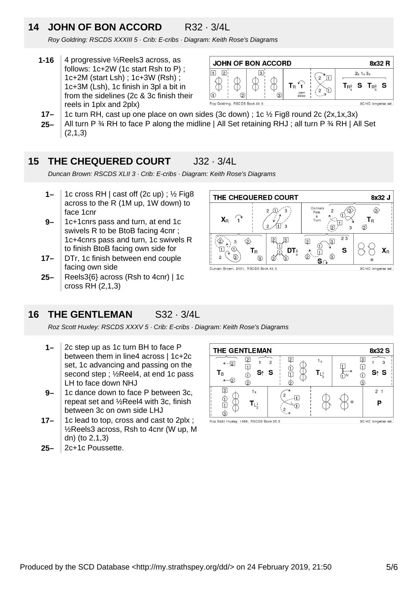### **14 JOHN OF BON ACCORD** R32 · 3/4L

Roy Goldring: RSCDS XXXIII 5 · Crib: E-cribs · Diagram: Keith Rose's Diagrams

**1-16** 4 progressive ½Reels3 across, as follows: 1c+2W (1c start Rsh to P) ; 1c+2M (start Lsh) ; 1c+3W (Rsh) ; 1c+3M (Lsh), 1c finish in 3pl a bit in from the sidelines (2c & 3c finish their reels in 1plx and 2plx)



- **17–** 1c turn RH, cast up one place on own sides (3c down) ; 1c ½ Fig8 round 2c (2x,1x,3x)
- **25–** All turn P  $\frac{3}{4}$  RH to face P along the midline | All Set retaining RHJ ; all turn P  $\frac{3}{4}$  RH | All Set  $(2.1.3)$

#### **15 THE CHEQUERED COURT** J32 · 3/4L

Duncan Brown: RSCDS XLII 3 · Crib: E-cribs · Diagram: Keith Rose's Diagrams

- **1–** 1c cross RH | cast off (2c up) ; ½ Fig8 across to the R (1M up, 1W down) to face 1cnr
- **9–** 1c+1cnrs pass and turn, at end 1c swivels R to be BtoB facing 4cnr ; 1c+4cnrs pass and turn, 1c swivels R to finish BtoB facing own side for
- **17–** DTr, 1c finish between end couple facing own side
- **25–** Reels3{6} across (Rsh to 4cnr) | 1c cross RH (2,1,3)



### **16 THE GENTLEMAN** S32 · 3/4L

Roz Scott Huxley: RSCDS XXXV 5 · Crib: E-cribs · Diagram: Keith Rose's Diagrams

- **1–** 2c step up as 1c turn BH to face P between them in line4 across | 1c+2c set, 1c advancing and passing on the second step ; ½Reel4, at end 1c pass LH to face down NHJ
- **9–** 1c dance down to face P between 3c, repeat set and ½Reel4 with 3c, finish between 3c on own side LHJ
- **17–** 1c lead to top, cross and cast to 2plx ; ½Reels3 across, Rsh to 4cnr (W up, M dn) (to 2,1,3)
- **25–** 2c+1c Poussette.